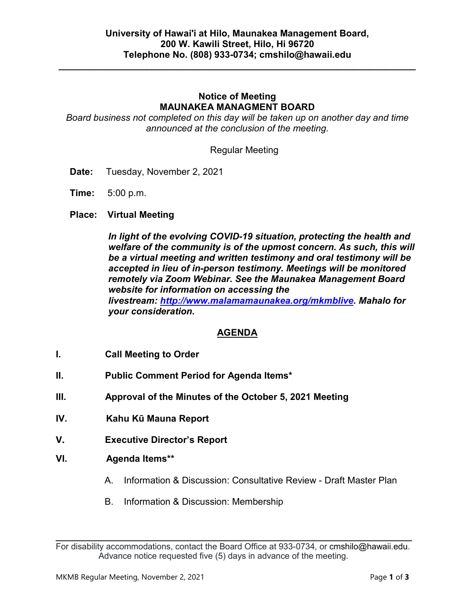**\_\_\_\_\_\_\_\_\_\_\_\_\_\_\_\_\_\_\_\_\_\_\_\_\_\_\_\_\_\_\_\_\_\_\_\_\_\_\_\_\_\_\_\_\_\_\_\_\_\_\_\_\_\_\_\_\_\_\_\_\_\_\_\_\_\_\_\_\_**

### **Notice of Meeting MAUNAKEA MANAGMENT BOARD**

*Board business not completed on this day will be taken up on another day and time announced at the conclusion of the meeting.*

Regular Meeting

- **Date:** Tuesday, November 2, 2021
- **Time:** 5:00 p.m.
- **Place: Virtual Meeting**

*In light of the evolving COVID-19 situation, protecting the health and welfare of the community is of the upmost concern. As such, this will be a virtual meeting and written testimony and oral testimony will be accepted in lieu of in-person testimony. Meetings will be monitored remotely via Zoom Webinar. See the Maunakea Management Board website for information on accessing the livestream: [http://www.malamamaunakea.org/mkmblive.](http://www.malamamaunakea.org/mkmblive) Mahalo for your consideration.*

### **AGENDA**

- **I. Call Meeting to Order**
- **II. Public Comment Period for Agenda Items\***
- **III. Approval of the Minutes of the October 5, 2021 Meeting**
- **IV. Kahu Kū Mauna Report**
- **V. Executive Director's Report**
- **VI. Agenda Items\*\***
	- A. Information & Discussion: Consultative Review Draft Master Plan
	- B. Information & Discussion: Membership

 $\mathcal{L}_\text{max}$  and  $\mathcal{L}_\text{max}$  and  $\mathcal{L}_\text{max}$  and  $\mathcal{L}_\text{max}$  and  $\mathcal{L}_\text{max}$  and  $\mathcal{L}_\text{max}$ For disability accommodations, contact the Board Office at 933-0734, or [cmshilo@hawaii.edu.](mailto:cmshilo@hawaii.edu) Advance notice requested five (5) days in advance of the meeting.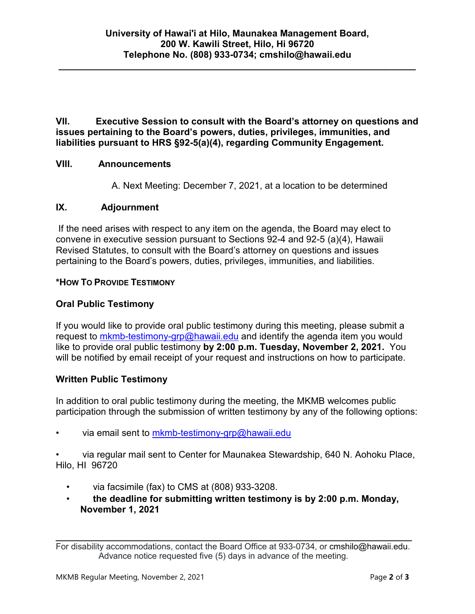**\_\_\_\_\_\_\_\_\_\_\_\_\_\_\_\_\_\_\_\_\_\_\_\_\_\_\_\_\_\_\_\_\_\_\_\_\_\_\_\_\_\_\_\_\_\_\_\_\_\_\_\_\_\_\_\_\_\_\_\_\_\_\_\_\_\_\_\_\_**

**VII. Executive Session to consult with the Board's attorney on questions and issues pertaining to the Board's powers, duties, privileges, immunities, and liabilities pursuant to HRS §92-5(a)(4), regarding Community Engagement.**

### **VIII. Announcements**

A. Next Meeting: December 7, 2021, at a location to be determined

### **IX. Adjournment**

If the need arises with respect to any item on the agenda, the Board may elect to convene in executive session pursuant to Sections 92-4 and 92-5 (a)(4), Hawaii Revised Statutes, to consult with the Board's attorney on questions and issues pertaining to the Board's powers, duties, privileges, immunities, and liabilities.

### **\*HOW TO PROVIDE TESTIMONY**

# **Oral Public Testimony**

If you would like to provide oral public testimony during this meeting, please submit a request to [mkmb-testimony-grp@hawaii.edu](mailto:mkmb-testimony-grp@hawaii.edu) and identify the agenda item you would like to provide oral public testimony **by 2:00 p.m. Tuesday, November 2, 2021.** You will be notified by email receipt of your request and instructions on how to participate.

### **Written Public Testimony**

In addition to oral public testimony during the meeting, the MKMB welcomes public participation through the submission of written testimony by any of the following options:

• via email sent to [mkmb-testimony-grp@hawaii.edu](mailto:mkmb-testimony-grp@hawaii.edu)

• via regular mail sent to Center for Maunakea Stewardship, 640 N. Aohoku Place, Hilo, HI 96720

- via facsimile (fax) to CMS at (808) 933-3208.
- **the deadline for submitting written testimony is by 2:00 p.m. Monday, November 1, 2021**

 $\mathcal{L}_\text{max}$  and  $\mathcal{L}_\text{max}$  and  $\mathcal{L}_\text{max}$  and  $\mathcal{L}_\text{max}$  and  $\mathcal{L}_\text{max}$  and  $\mathcal{L}_\text{max}$ For disability accommodations, contact the Board Office at 933-0734, or [cmshilo@hawaii.edu.](mailto:cmshilo@hawaii.edu) Advance notice requested five (5) days in advance of the meeting.